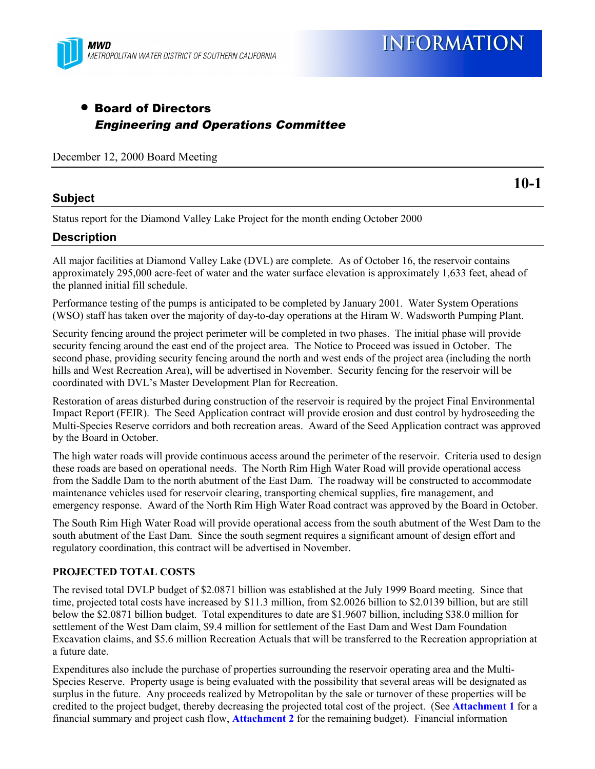

## • Board of Directors Engineering and Operations Committee

December 12, 2000 Board Meeting

### **Subject**

**10-1**

Status report for the Diamond Valley Lake Project for the month ending October 2000

## **Description**

All major facilities at Diamond Valley Lake (DVL) are complete. As of October 16, the reservoir contains approximately 295,000 acre-feet of water and the water surface elevation is approximately 1,633 feet, ahead of the planned initial fill schedule.

Performance testing of the pumps is anticipated to be completed by January 2001. Water System Operations (WSO) staff has taken over the majority of day-to-day operations at the Hiram W. Wadsworth Pumping Plant.

Security fencing around the project perimeter will be completed in two phases. The initial phase will provide security fencing around the east end of the project area. The Notice to Proceed was issued in October. The second phase, providing security fencing around the north and west ends of the project area (including the north hills and West Recreation Area), will be advertised in November. Security fencing for the reservoir will be coordinated with DVL's Master Development Plan for Recreation.

Restoration of areas disturbed during construction of the reservoir is required by the project Final Environmental Impact Report (FEIR). The Seed Application contract will provide erosion and dust control by hydroseeding the Multi-Species Reserve corridors and both recreation areas. Award of the Seed Application contract was approved by the Board in October.

The high water roads will provide continuous access around the perimeter of the reservoir. Criteria used to design these roads are based on operational needs. The North Rim High Water Road will provide operational access from the Saddle Dam to the north abutment of the East Dam. The roadway will be constructed to accommodate maintenance vehicles used for reservoir clearing, transporting chemical supplies, fire management, and emergency response. Award of the North Rim High Water Road contract was approved by the Board in October.

The South Rim High Water Road will provide operational access from the south abutment of the West Dam to the south abutment of the East Dam. Since the south segment requires a significant amount of design effort and regulatory coordination, this contract will be advertised in November.

## **PROJECTED TOTAL COSTS**

The revised total DVLP budget of \$2.0871 billion was established at the July 1999 Board meeting. Since that time, projected total costs have increased by \$11.3 million, from \$2.0026 billion to \$2.0139 billion, but are still below the \$2.0871 billion budget. Total expenditures to date are \$1.9607 billion, including \$38.0 million for settlement of the West Dam claim, \$9.4 million for settlement of the East Dam and West Dam Foundation Excavation claims, and \$5.6 million Recreation Actuals that will be transferred to the Recreation appropriation at a future date.

Expenditures also include the purchase of properties surrounding the reservoir operating area and the Multi-Species Reserve. Property usage is being evaluated with the possibility that several areas will be designated as surplus in the future. Any proceeds realized by Metropolitan by the sale or turnover of these properties will be credited to the project budget, thereby decreasing the projected total cost of the project. (See **Attachment 1** for a financial summary and project cash flow, **Attachment 2** for the remaining budget). Financial information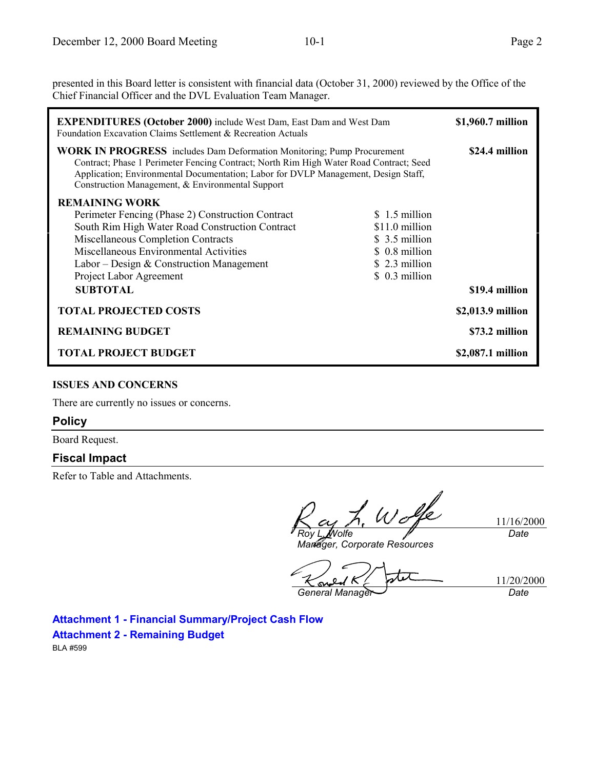presented in this Board letter is consistent with financial data (October 31, 2000) reviewed by the Office of the Chief Financial Officer and the DVL Evaluation Team Manager.

| <b>EXPENDITURES (October 2000)</b> include West Dam, East Dam and West Dam<br><b>Foundation Excavation Claims Settlement &amp; Recreation Actuals</b>                                                                                                                                                             |                                                                                                         | \$1,960.7 million |
|-------------------------------------------------------------------------------------------------------------------------------------------------------------------------------------------------------------------------------------------------------------------------------------------------------------------|---------------------------------------------------------------------------------------------------------|-------------------|
| <b>WORK IN PROGRESS</b> includes Dam Deformation Monitoring; Pump Procurement<br>Contract; Phase 1 Perimeter Fencing Contract; North Rim High Water Road Contract; Seed<br>Application; Environmental Documentation; Labor for DVLP Management, Design Staff,<br>Construction Management, & Environmental Support |                                                                                                         | \$24.4 million    |
| <b>REMAINING WORK</b><br>Perimeter Fencing (Phase 2) Construction Contract<br>South Rim High Water Road Construction Contract<br>Miscellaneous Completion Contracts<br>Miscellaneous Environmental Activities<br>Labor – Design & Construction Management<br>Project Labor Agreement                              | \$1.5 million<br>\$11.0 million<br>\$ 3.5 million<br>\$ 0.8 million<br>\$ 2.3 million<br>\$ 0.3 million |                   |
| <b>SUBTOTAL</b>                                                                                                                                                                                                                                                                                                   |                                                                                                         | \$19.4 million    |
| <b>TOTAL PROJECTED COSTS</b>                                                                                                                                                                                                                                                                                      |                                                                                                         | \$2,013.9 million |
| <b>REMAINING BUDGET</b>                                                                                                                                                                                                                                                                                           |                                                                                                         | \$73.2 million    |
| <b>TOTAL PROJECT BUDGET</b>                                                                                                                                                                                                                                                                                       |                                                                                                         | \$2,087.1 million |

#### **ISSUES AND CONCERNS**

There are currently no issues or concerns.

#### **Policy**

Board Request.

### **Fiscal Impact**

Refer to Table and Attachments.

*Roy L. Wolfe*

11/16/2000 *Date*

11/20/2000

*Manager, Corporate Resources*

ے ا *General Manager Date*

**Attachment 1 - Financial Summary/Project Cash Flow**

**Attachment 2 - Remaining Budget**

BLA #599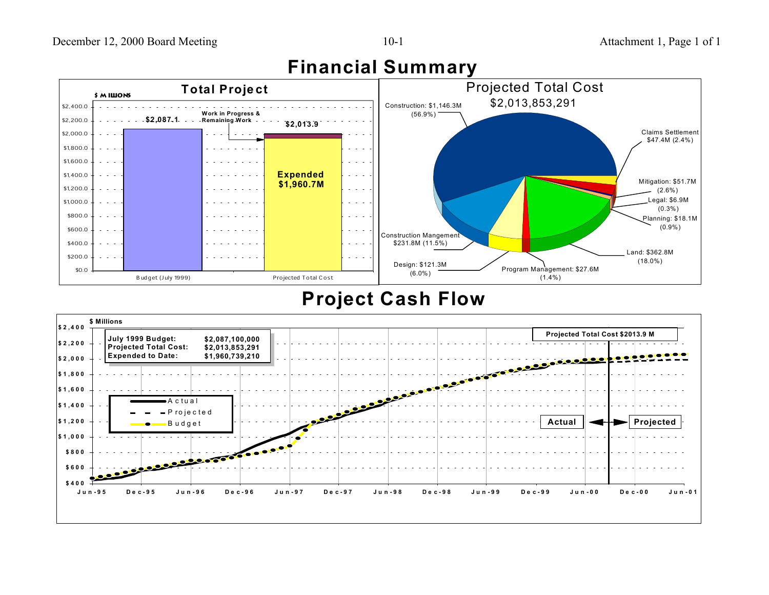

## **Financial Summary**

## **Project Cash Flow**